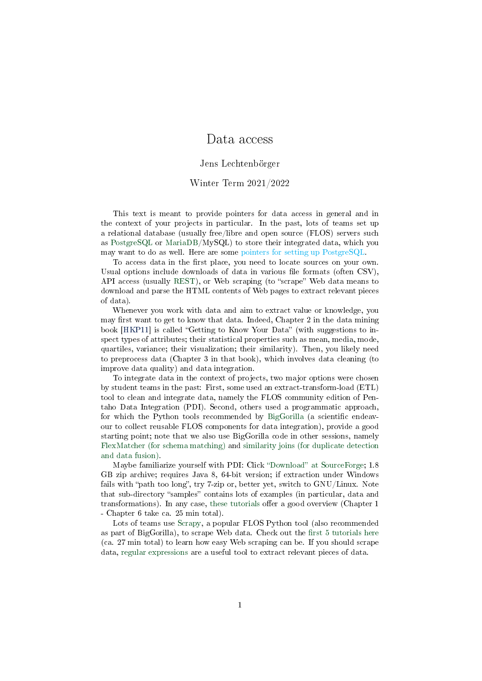### Data access

#### Jens Lechtenbörger

#### Winter Term 2021/2022

This text is meant to provide pointers for data access in general and in the context of your projects in particular. In the past, lots of teams set up a relational database (usually free/libre and open source (FLOS) servers such as [PostgreSQL](https://www.postgresql.org/) or [MariaDB/](https://mariadb.org/)MySQL) to store their integrated data, which you may want to do as well. Here are some pointers for setting up PostgreSQL.

To access data in the first place, you need to locate sources on your own. Usual options include downloads of data in various file formats (often CSV), API access (usually [REST\)](https://en.wikipedia.org/wiki/Representational_state_transfer), or Web scraping (to "scrape" Web data means to download and parse the HTML contents of Web pages to extract relevant pieces of data).

Whenever you work with data and aim to extract value or knowledge, you may first want to get to know that data. Indeed, Chapter 2 in the data mining book [\[HKP11\]](#page-1-0) is called "Getting to Know Your Data" (with suggestions to inspect types of attributes; their statistical properties such as mean, media, mode, quartiles, variance; their visualization; their similarity). Then, you likely need to preprocess data (Chapter 3 in that book), which involves data cleaning (to improve data quality) and data integration.

To integrate data in the context of projects, two major options were chosen by student teams in the past: First, some used an extract-transform-load (ETL) tool to clean and integrate data, namely the FLOS community edition of Pentaho Data Integration (PDI). Second, others used a programmatic approach, for which the Python tools recommended by [BigGorilla](https://www.biggorilla.org/) (a scientific endeavour to collect reusable FLOS components for data integration), provide a good starting point; note that we also use BigGorilla code in other sessions, namely [FlexMatcher \(for schema matching\)](https://github.com/biggorilla-gh/flexmatcher) and [similarity joins \(for duplicate detection](https://nbviewer.org/github/anhaidgroup/py_stringsimjoin/blob/master/notebooks/Joining%20two%20tables%20using%20edit%20distance%20measure.ipynb) [and data fusion\).](https://nbviewer.org/github/anhaidgroup/py_stringsimjoin/blob/master/notebooks/Joining%20two%20tables%20using%20edit%20distance%20measure.ipynb)

Maybe familiarize yourself with PDI: Click "Download" at SourceForge; 1.8 GB zip archive; requires Java 8, 64-bit version; if extraction under Windows fails with "path too long", try 7-zip or, better yet, switch to GNU/Linux. Note that sub-directory "samples" contains lots of examples (in particular, data and transformations). In any case, [these tutorials](https://www.hitachivantara.com/en-us/products/data-management-analytics/pentaho/tutorials.html) offer a good overview (Chapter 1) - Chapter 6 take ca. 25 min total).

Lots of teams use [Scrapy,](https://scrapy.org/) a popular FLOS Python tool (also recommended as part of BigGorilla), to scrape Web data. Check out the first  $5$  tutorials here (ca. 27 min total) to learn how easy Web scraping can be. If you should scrape data, [regular expressions](https://oer.gitlab.io/misc/Regular-Expressions.html) are a useful tool to extract relevant pieces of data.